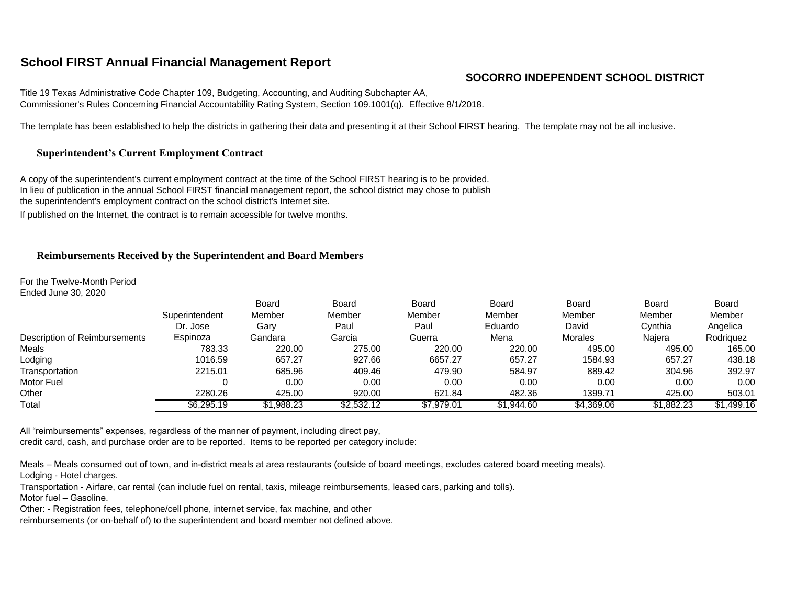# **School FIRST Annual Financial Management Report**

## **SOCORRO INDEPENDENT SCHOOL DISTRICT**

Title 19 Texas Administrative Code Chapter 109, Budgeting, Accounting, and Auditing Subchapter AA, Commissioner's Rules Concerning Financial Accountability Rating System, Section 109.1001(q). Effective 8/1/2018.

The template has been established to help the districts in gathering their data and presenting it at their School FIRST hearing. The template may not be all inclusive.

## **Superintendent's Current Employment Contract**

A copy of the superintendent's current employment contract at the time of the School FIRST hearing is to be provided. In lieu of publication in the annual School FIRST financial management report, the school district may chose to publish the superintendent's employment contract on the school district's Internet site.

If published on the Internet, the contract is to remain accessible for twelve months.

### **Reimbursements Received by the Superintendent and Board Members**

For the Twelve-Month Period Ended June 30, 2020

|                               | Superintendent<br>Dr. Jose | <b>Board</b><br>Member<br>Gary | Board<br>Member<br>Paul | <b>Board</b><br>Member<br>Paul | Board<br>Member<br>Eduardo | Board<br>Member<br>David | Board<br>Member<br>Cynthia | <b>Board</b><br>Member<br>Angelica |
|-------------------------------|----------------------------|--------------------------------|-------------------------|--------------------------------|----------------------------|--------------------------|----------------------------|------------------------------------|
| Description of Reimbursements | Espinoza                   | Gandara                        | Garcia                  | Guerra                         | Mena                       | Morales                  | Najera                     | Rodriguez                          |
| Meals                         | 783.33                     | 220.00                         | 275.00                  | 220.00                         | 220.00                     | 495.00                   | 495.00                     | 165.00                             |
| Lodging                       | 1016.59                    | 657.27                         | 927.66                  | 6657.27                        | 657.27                     | 1584.93                  | 657.27                     | 438.18                             |
| Transportation                | 2215.01                    | 685.96                         | 409.46                  | 479.90                         | 584.97                     | 889.42                   | 304.96                     | 392.97                             |
| Motor Fuel                    |                            | 0.00                           | 0.00                    | 0.00                           | 0.00                       | 0.00                     | 0.00                       | 0.00                               |
| Other                         | 2280.26                    | 425.00                         | 920.00                  | 621.84                         | 482.36                     | 1399.71                  | 425.00                     | 503.01                             |
| Total                         | \$6,295.19                 | \$1,988.23                     | \$2,532.12              | \$7.979.01                     | \$1.944.60                 | \$4,369.06               | \$1,882.23                 | \$1,499.16                         |

All "reimbursements" expenses, regardless of the manner of payment, including direct pay, credit card, cash, and purchase order are to be reported. Items to be reported per category include:

Meals – Meals consumed out of town, and in-district meals at area restaurants (outside of board meetings, excludes catered board meeting meals).

Lodging - Hotel charges.

Transportation - Airfare, car rental (can include fuel on rental, taxis, mileage reimbursements, leased cars, parking and tolls).

Motor fuel – Gasoline.

Other: - Registration fees, telephone/cell phone, internet service, fax machine, and other

reimbursements (or on-behalf of) to the superintendent and board member not defined above.